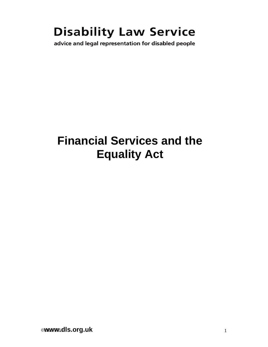# **Disability Law Service**

advice and legal representation for disabled people

# **Financial Services and the Equality Act**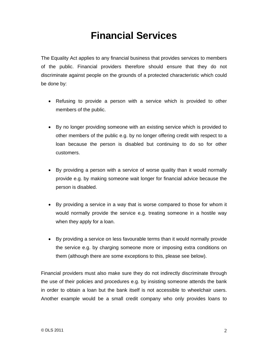## **Financial Services**

The Equality Act applies to any financial business that provides services to members of the public. Financial providers therefore should ensure that they do not discriminate against people on the grounds of a protected characteristic which could be done by:

- Refusing to provide a person with a service which is provided to other members of the public.
- By no longer providing someone with an existing service which is provided to other members of the public e.g. by no longer offering credit with respect to a loan because the person is disabled but continuing to do so for other customers.
- By providing a person with a service of worse quality than it would normally provide e.g. by making someone wait longer for financial advice because the person is disabled.
- By providing a service in a way that is worse compared to those for whom it would normally provide the service e.g. treating someone in a hostile way when they apply for a loan.
- By providing a service on less favourable terms than it would normally provide the service e.g. by charging someone more or imposing extra conditions on them (although there are some exceptions to this, please see below).

Financial providers must also make sure they do not indirectly discriminate through the use of their policies and procedures e.g. by insisting someone attends the bank in order to obtain a loan but the bank itself is not accessible to wheelchair users. Another example would be a small credit company who only provides loans to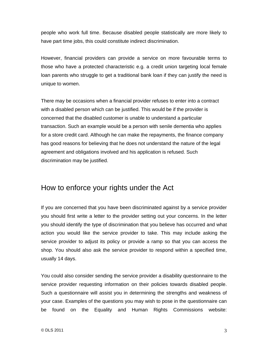people who work full time. Because disabled people statistically are more likely to have part time jobs, this could constitute indirect discrimination.

However, financial providers can provide a service on more favourable terms to those who have a protected characteristic e.g. a credit union targeting local female loan parents who struggle to get a traditional bank loan if they can justify the need is unique to women.

There may be occasions when a financial provider refuses to enter into a contract with a disabled person which can be justified. This would be if the provider is concerned that the disabled customer is unable to understand a particular transaction. Such an example would be a person with senile dementia who applies for a store credit card. Although he can make the repayments, the finance company has good reasons for believing that he does not understand the nature of the legal agreement and obligations involved and his application is refused. Such discrimination may be justified.

### How to enforce your rights under the Act

If you are concerned that you have been discriminated against by a service provider you should first write a letter to the provider setting out your concerns. In the letter you should identify the type of discrimination that you believe has occurred and what action you would like the service provider to take. This may include asking the service provider to adjust its policy or provide a ramp so that you can access the shop. You should also ask the service provider to respond within a specified time, usually 14 days.

You could also consider sending the service provider a disability questionnaire to the service provider requesting information on their policies towards disabled people. Such a questionnaire will assist you in determining the strengths and weakness of your case. Examples of the questions you may wish to pose in the questionnaire can be found on the Equality and Human Rights Commissions website: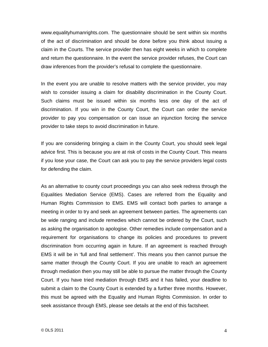www.equalityhumanrights.com. The questionnaire should be sent within six months of the act of discrimination and should be done before you think about issuing a claim in the Courts. The service provider then has eight weeks in which to complete and return the questionnaire. In the event the service provider refuses, the Court can draw inferences from the provider's refusal to complete the questionnaire.

In the event you are unable to resolve matters with the service provider, you may wish to consider issuing a claim for disability discrimination in the County Court. Such claims must be issued within six months less one day of the act of discrimination. If you win in the County Court, the Court can order the service provider to pay you compensation or can issue an injunction forcing the service provider to take steps to avoid discrimination in future.

If you are considering bringing a claim in the County Court, you should seek legal advice first. This is because you are at risk of costs in the County Court. This means if you lose your case, the Court can ask you to pay the service providers legal costs for defending the claim.

As an alternative to county court proceedings you can also seek redress through the Equalities Mediation Service (EMS). Cases are referred from the Equality and Human Rights Commission to EMS. EMS will contact both parties to arrange a meeting in order to try and seek an agreement between parties. The agreements can be wide ranging and include remedies which cannot be ordered by the Court, such as asking the organisation to apologise. Other remedies include compensation and a requirement for organisations to change its policies and procedures to prevent discrimination from occurring again in future. If an agreement is reached through EMS it will be in 'full and final settlement'. This means you then cannot pursue the same matter through the County Court. If you are unable to reach an agreement through mediation then you may still be able to pursue the matter through the County Court. If you have tried mediation through EMS and it has failed, your deadline to submit a claim to the County Court is extended by a further three months. However, this must be agreed with the Equality and Human Rights Commission. In order to seek assistance through EMS, please see details at the end of this factsheet.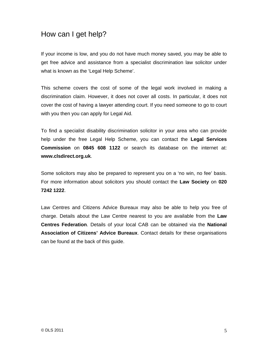## How can I get help?

If your income is low, and you do not have much money saved, you may be able to get free advice and assistance from a specialist discrimination law solicitor under what is known as the 'Legal Help Scheme'.

This scheme covers the cost of some of the legal work involved in making a discrimination claim. However, it does not cover all costs. In particular, it does not cover the cost of having a lawyer attending court. If you need someone to go to court with you then you can apply for Legal Aid.

To find a specialist disability discrimination solicitor in your area who can provide help under the free Legal Help Scheme, you can contact the **Legal Services Commission** on **0845 608 1122** or search its database on the internet at: **www.clsdirect.org.uk**.

Some solicitors may also be prepared to represent you on a 'no win, no fee' basis. For more information about solicitors you should contact the **Law Society** on **020 7242 1222**.

Law Centres and Citizens Advice Bureaux may also be able to help you free of charge. Details about the Law Centre nearest to you are available from the **Law Centres Federation**. Details of your local CAB can be obtained via the **National Association of Citizens' Advice Bureaux**. Contact details for these organisations can be found at the back of this guide.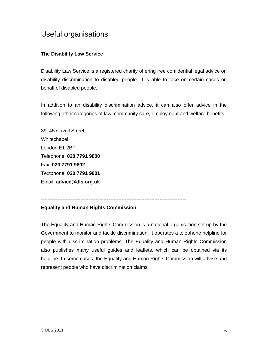### Useful organisations

#### **The Disability Law Service**

Disability Law Service is a registered charity offering free confidential legal advice on disability discrimination to disabled people. It is able to take on certain cases on behalf of disabled people.

In addition to an disability discrimination advice, it can also offer advice in the following other categories of law: community care, employment and welfare benefits.

39–45 Cavell Street Whitechapel London E1 2BP Telephone: **020 7791 9800** Fax: **020 7791 9802** Textphone: **020 7791 9801** Email: **advice@dls.org.uk**

#### ----------------------------------------------------------------------------------------

#### **Equality and Human Rights Commission**

The Equality and Human Rights Commission is a national organisation set up by the Government to monitor and tackle discrimination. It operates a telephone helpline for people with discrimination problems. The Equality and Human Rights Commission also publishes many useful guides and leaflets, which can be obtained via its helpline. In some cases, the Equality and Human Rights Commission will advise and represent people who have discrimination claims.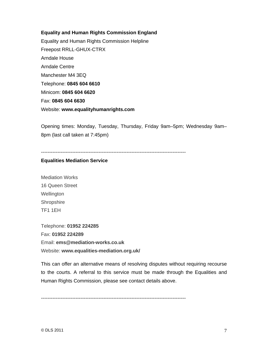#### **Equality and Human Rights Commission England**

Equality and Human Rights Commission Helpline Freepost RRLL-GHUX-CTRX Arndale House Arndale Centre Manchester M4 3EQ Telephone: **0845 604 6610** Minicom: **0845 604 6620** Fax: **0845 604 6630** Website: **www.equalityhumanrights.com** 

Opening times: Monday, Tuesday, Thursday, Friday 9am–5pm; Wednesday 9am– 8pm (last call taken at 7:45pm)

----------------------------------------------------------------------------------------

#### **Equalities Mediation Service**

Mediation Works 16 Queen Street **Wellington Shropshire** TF1 1EH

Telephone: **01952 224285**  Fax: **01952 224289** Email: **ems@mediation-works.co.uk**  Website: **www.equalities-mediation.org.uk/** 

This can offer an alternative means of resolving disputes without requiring recourse to the courts. A referral to this service must be made through the Equalities and Human Rights Commission, please see contact details above.

----------------------------------------------------------------------------------------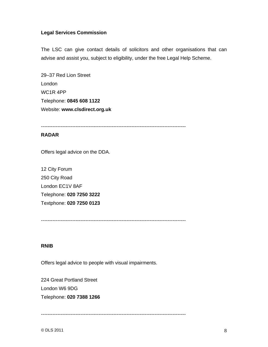#### **Legal Services Commission**

The LSC can give contact details of solicitors and other organisations that can advise and assist you, subject to eligibility, under the free Legal Help Scheme.

29–37 Red Lion Street London WC1R 4PP Telephone: **0845 608 1122** Website: **www.clsdirect.org.uk** 

----------------------------------------------------------------------------------------

#### **RADAR**

Offers legal advice on the DDA.

12 City Forum 250 City Road London EC1V 8AF Telephone: **020 7250 3222**  Textphone: **020 7250 0123** 

----------------------------------------------------------------------------------------

#### **RNIB**

Offers legal advice to people with visual impairments.

224 Great Portland Street London W6 9DG Telephone: **020 7388 1266** 

----------------------------------------------------------------------------------------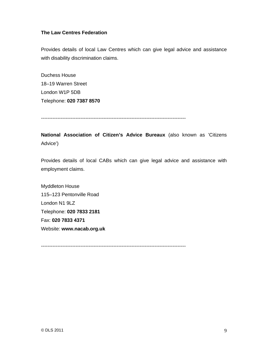#### **The Law Centres Federation**

Provides details of local Law Centres which can give legal advice and assistance with disability discrimination claims.

Duchess House 18–19 Warren Street London W1P 5DB Telephone: **020 7387 8570** 

----------------------------------------------------------------------------------------

**National Association of Citizen's Advice Bureaux** (also known as 'Citizens Advice')

Provides details of local CABs which can give legal advice and assistance with employment claims.

Myddleton House 115–123 Pentonville Road London N1 9LZ Telephone: **020 7833 2181**  Fax: **020 7833 4371**  Website: **www.nacab.org.uk** 

----------------------------------------------------------------------------------------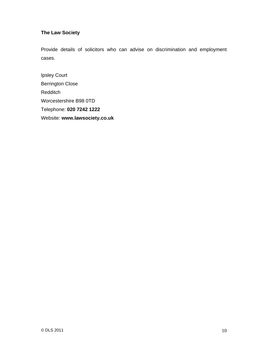#### **The Law Society**

Provide details of solicitors who can advise on discrimination and employment cases.

Ipsley Court Berrington Close **Redditch** Worcestershire B98 0TD Telephone: **020 7242 1222**  Website: **www.lawsociety.co.uk**